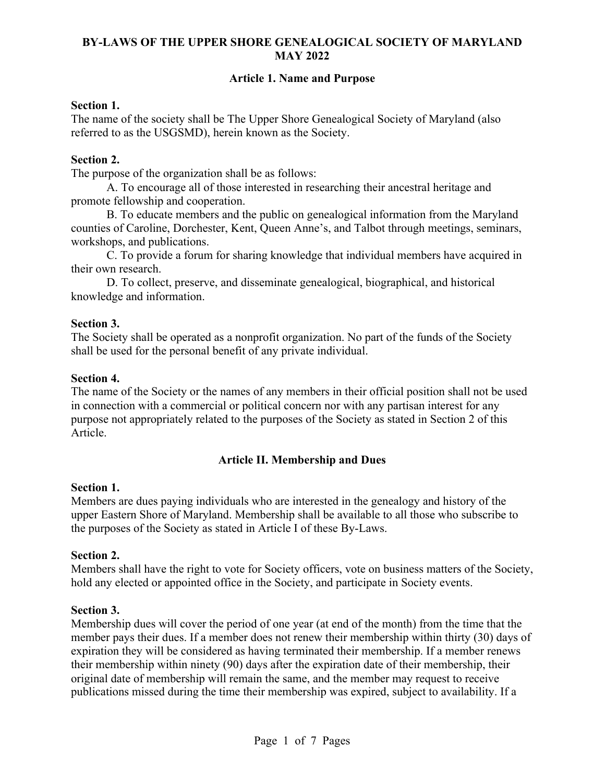# **BY-LAWS OF THE UPPER SHORE GENEALOGICAL SOCIETY OF MARYLAND MAY 2022**

## **Article 1. Name and Purpose**

#### **Section 1.**

The name of the society shall be The Upper Shore Genealogical Society of Maryland (also referred to as the USGSMD), herein known as the Society.

#### **Section 2.**

The purpose of the organization shall be as follows:

A. To encourage all of those interested in researching their ancestral heritage and promote fellowship and cooperation.

B. To educate members and the public on genealogical information from the Maryland counties of Caroline, Dorchester, Kent, Queen Anne's, and Talbot through meetings, seminars, workshops, and publications.

C. To provide a forum for sharing knowledge that individual members have acquired in their own research.

D. To collect, preserve, and disseminate genealogical, biographical, and historical knowledge and information.

#### **Section 3.**

The Society shall be operated as a nonprofit organization. No part of the funds of the Society shall be used for the personal benefit of any private individual.

#### **Section 4.**

The name of the Society or the names of any members in their official position shall not be used in connection with a commercial or political concern nor with any partisan interest for any purpose not appropriately related to the purposes of the Society as stated in Section 2 of this Article.

### **Article II. Membership and Dues**

#### **Section 1.**

Members are dues paying individuals who are interested in the genealogy and history of the upper Eastern Shore of Maryland. Membership shall be available to all those who subscribe to the purposes of the Society as stated in Article I of these By-Laws.

#### **Section 2.**

Members shall have the right to vote for Society officers, vote on business matters of the Society, hold any elected or appointed office in the Society, and participate in Society events.

#### **Section 3.**

Membership dues will cover the period of one year (at end of the month) from the time that the member pays their dues. If a member does not renew their membership within thirty (30) days of expiration they will be considered as having terminated their membership. If a member renews their membership within ninety (90) days after the expiration date of their membership, their original date of membership will remain the same, and the member may request to receive publications missed during the time their membership was expired, subject to availability. If a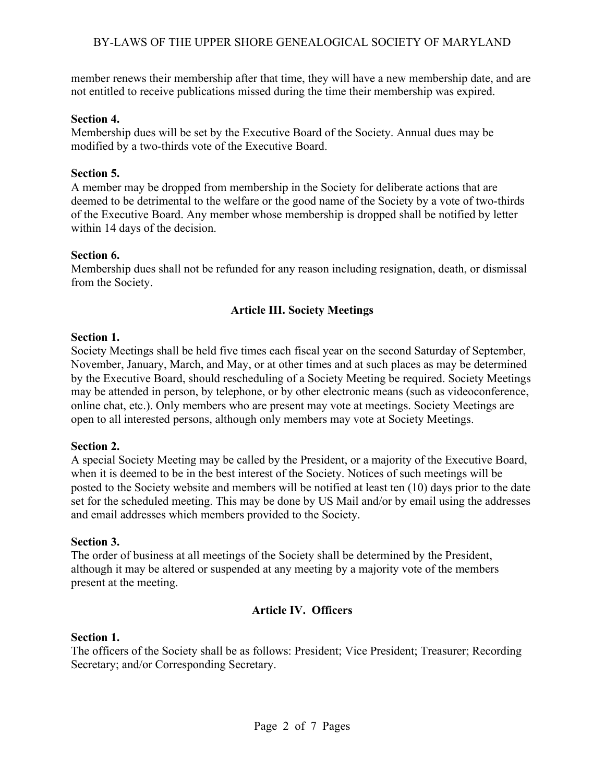member renews their membership after that time, they will have a new membership date, and are not entitled to receive publications missed during the time their membership was expired.

# **Section 4.**

Membership dues will be set by the Executive Board of the Society. Annual dues may be modified by a two-thirds vote of the Executive Board.

# **Section 5.**

A member may be dropped from membership in the Society for deliberate actions that are deemed to be detrimental to the welfare or the good name of the Society by a vote of two-thirds of the Executive Board. Any member whose membership is dropped shall be notified by letter within 14 days of the decision.

### **Section 6.**

Membership dues shall not be refunded for any reason including resignation, death, or dismissal from the Society.

# **Article III. Society Meetings**

### **Section 1.**

Society Meetings shall be held five times each fiscal year on the second Saturday of September, November, January, March, and May, or at other times and at such places as may be determined by the Executive Board, should rescheduling of a Society Meeting be required. Society Meetings may be attended in person, by telephone, or by other electronic means (such as videoconference, online chat, etc.). Only members who are present may vote at meetings. Society Meetings are open to all interested persons, although only members may vote at Society Meetings.

# **Section 2.**

A special Society Meeting may be called by the President, or a majority of the Executive Board, when it is deemed to be in the best interest of the Society. Notices of such meetings will be posted to the Society website and members will be notified at least ten (10) days prior to the date set for the scheduled meeting. This may be done by US Mail and/or by email using the addresses and email addresses which members provided to the Society.

### **Section 3.**

The order of business at all meetings of the Society shall be determined by the President, although it may be altered or suspended at any meeting by a majority vote of the members present at the meeting.

# **Article IV. Officers**

### **Section 1.**

The officers of the Society shall be as follows: President; Vice President; Treasurer; Recording Secretary; and/or Corresponding Secretary.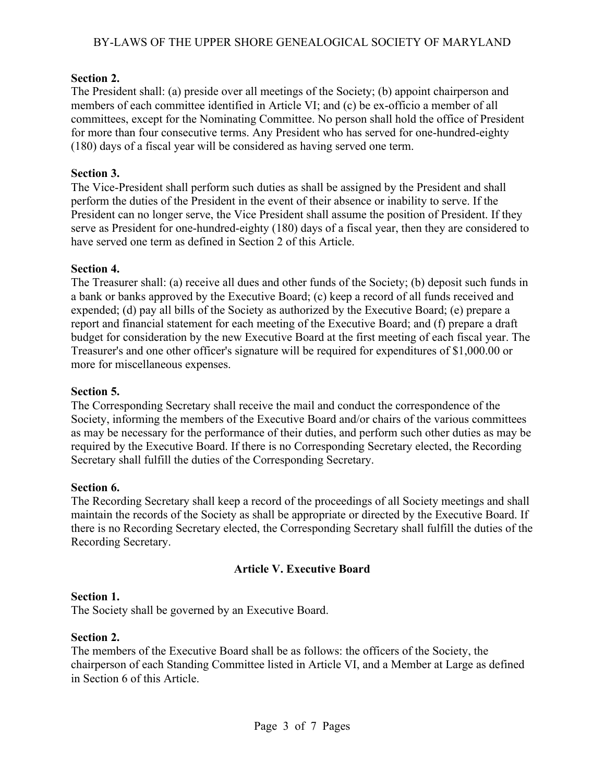# BY-LAWS OF THE UPPER SHORE GENEALOGICAL SOCIETY OF MARYLAND

## **Section 2.**

The President shall: (a) preside over all meetings of the Society; (b) appoint chairperson and members of each committee identified in Article VI; and (c) be ex-officio a member of all committees, except for the Nominating Committee. No person shall hold the office of President for more than four consecutive terms. Any President who has served for one-hundred-eighty (180) days of a fiscal year will be considered as having served one term.

## **Section 3.**

The Vice-President shall perform such duties as shall be assigned by the President and shall perform the duties of the President in the event of their absence or inability to serve. If the President can no longer serve, the Vice President shall assume the position of President. If they serve as President for one-hundred-eighty (180) days of a fiscal year, then they are considered to have served one term as defined in Section 2 of this Article.

### **Section 4.**

The Treasurer shall: (a) receive all dues and other funds of the Society; (b) deposit such funds in a bank or banks approved by the Executive Board; (c) keep a record of all funds received and expended; (d) pay all bills of the Society as authorized by the Executive Board; (e) prepare a report and financial statement for each meeting of the Executive Board; and (f) prepare a draft budget for consideration by the new Executive Board at the first meeting of each fiscal year. The Treasurer's and one other officer's signature will be required for expenditures of \$1,000.00 or more for miscellaneous expenses.

### **Section 5.**

The Corresponding Secretary shall receive the mail and conduct the correspondence of the Society, informing the members of the Executive Board and/or chairs of the various committees as may be necessary for the performance of their duties, and perform such other duties as may be required by the Executive Board. If there is no Corresponding Secretary elected, the Recording Secretary shall fulfill the duties of the Corresponding Secretary.

### **Section 6.**

The Recording Secretary shall keep a record of the proceedings of all Society meetings and shall maintain the records of the Society as shall be appropriate or directed by the Executive Board. If there is no Recording Secretary elected, the Corresponding Secretary shall fulfill the duties of the Recording Secretary.

# **Article V. Executive Board**

### **Section 1.**

The Society shall be governed by an Executive Board.

### **Section 2.**

The members of the Executive Board shall be as follows: the officers of the Society, the chairperson of each Standing Committee listed in Article VI, and a Member at Large as defined in Section 6 of this Article.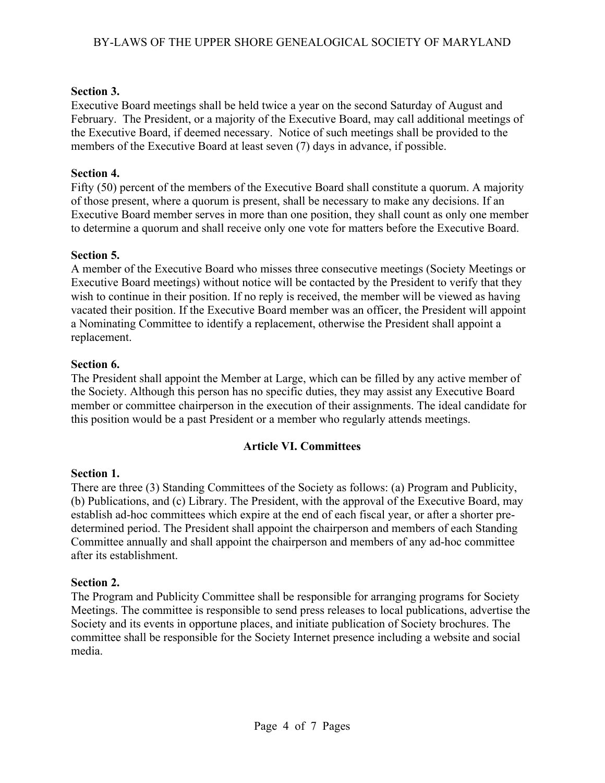# **Section 3.**

Executive Board meetings shall be held twice a year on the second Saturday of August and February. The President, or a majority of the Executive Board, may call additional meetings of the Executive Board, if deemed necessary. Notice of such meetings shall be provided to the members of the Executive Board at least seven (7) days in advance, if possible.

# **Section 4.**

Fifty (50) percent of the members of the Executive Board shall constitute a quorum. A majority of those present, where a quorum is present, shall be necessary to make any decisions. If an Executive Board member serves in more than one position, they shall count as only one member to determine a quorum and shall receive only one vote for matters before the Executive Board.

# **Section 5.**

A member of the Executive Board who misses three consecutive meetings (Society Meetings or Executive Board meetings) without notice will be contacted by the President to verify that they wish to continue in their position. If no reply is received, the member will be viewed as having vacated their position. If the Executive Board member was an officer, the President will appoint a Nominating Committee to identify a replacement, otherwise the President shall appoint a replacement.

# **Section 6.**

The President shall appoint the Member at Large, which can be filled by any active member of the Society. Although this person has no specific duties, they may assist any Executive Board member or committee chairperson in the execution of their assignments. The ideal candidate for this position would be a past President or a member who regularly attends meetings.

# **Article VI. Committees**

# **Section 1.**

There are three (3) Standing Committees of the Society as follows: (a) Program and Publicity, (b) Publications, and (c) Library. The President, with the approval of the Executive Board, may establish ad-hoc committees which expire at the end of each fiscal year, or after a shorter predetermined period. The President shall appoint the chairperson and members of each Standing Committee annually and shall appoint the chairperson and members of any ad-hoc committee after its establishment.

# **Section 2.**

The Program and Publicity Committee shall be responsible for arranging programs for Society Meetings. The committee is responsible to send press releases to local publications, advertise the Society and its events in opportune places, and initiate publication of Society brochures. The committee shall be responsible for the Society Internet presence including a website and social media.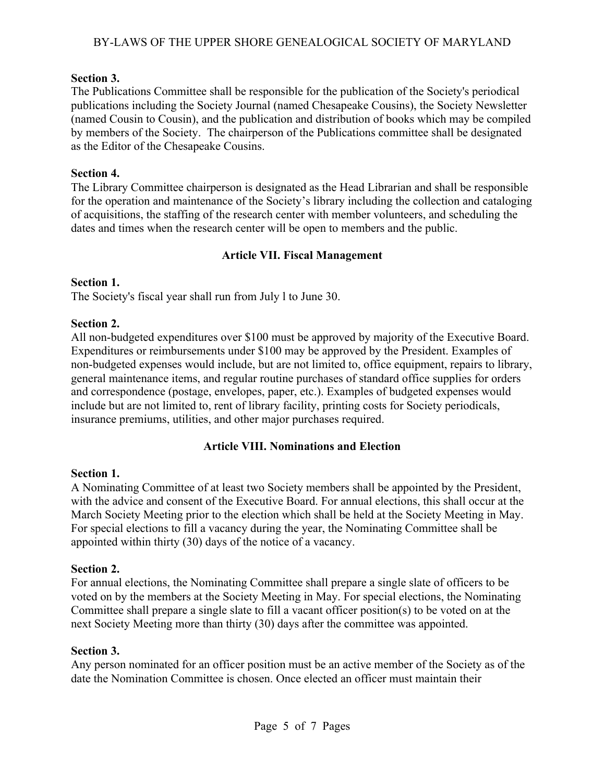# BY-LAWS OF THE UPPER SHORE GENEALOGICAL SOCIETY OF MARYLAND

# **Section 3.**

The Publications Committee shall be responsible for the publication of the Society's periodical publications including the Society Journal (named Chesapeake Cousins), the Society Newsletter (named Cousin to Cousin), and the publication and distribution of books which may be compiled by members of the Society. The chairperson of the Publications committee shall be designated as the Editor of the Chesapeake Cousins.

# **Section 4.**

The Library Committee chairperson is designated as the Head Librarian and shall be responsible for the operation and maintenance of the Society's library including the collection and cataloging of acquisitions, the staffing of the research center with member volunteers, and scheduling the dates and times when the research center will be open to members and the public.

# **Article VII. Fiscal Management**

# **Section 1.**

The Society's fiscal year shall run from July l to June 30.

# **Section 2.**

All non-budgeted expenditures over \$100 must be approved by majority of the Executive Board. Expenditures or reimbursements under \$100 may be approved by the President. Examples of non-budgeted expenses would include, but are not limited to, office equipment, repairs to library, general maintenance items, and regular routine purchases of standard office supplies for orders and correspondence (postage, envelopes, paper, etc.). Examples of budgeted expenses would include but are not limited to, rent of library facility, printing costs for Society periodicals, insurance premiums, utilities, and other major purchases required.

# **Article VIII. Nominations and Election**

# **Section 1.**

A Nominating Committee of at least two Society members shall be appointed by the President, with the advice and consent of the Executive Board. For annual elections, this shall occur at the March Society Meeting prior to the election which shall be held at the Society Meeting in May. For special elections to fill a vacancy during the year, the Nominating Committee shall be appointed within thirty (30) days of the notice of a vacancy.

# **Section 2.**

For annual elections, the Nominating Committee shall prepare a single slate of officers to be voted on by the members at the Society Meeting in May. For special elections, the Nominating Committee shall prepare a single slate to fill a vacant officer position(s) to be voted on at the next Society Meeting more than thirty (30) days after the committee was appointed.

# **Section 3.**

Any person nominated for an officer position must be an active member of the Society as of the date the Nomination Committee is chosen. Once elected an officer must maintain their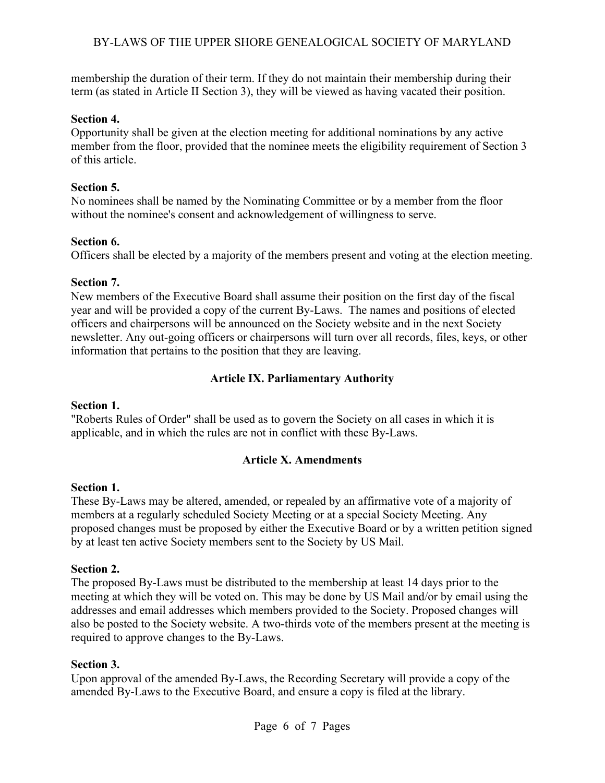# BY-LAWS OF THE UPPER SHORE GENEALOGICAL SOCIETY OF MARYLAND

membership the duration of their term. If they do not maintain their membership during their term (as stated in Article II Section 3), they will be viewed as having vacated their position.

### **Section 4.**

Opportunity shall be given at the election meeting for additional nominations by any active member from the floor, provided that the nominee meets the eligibility requirement of Section 3 of this article.

### **Section 5.**

No nominees shall be named by the Nominating Committee or by a member from the floor without the nominee's consent and acknowledgement of willingness to serve.

### **Section 6.**

Officers shall be elected by a majority of the members present and voting at the election meeting.

### **Section 7.**

New members of the Executive Board shall assume their position on the first day of the fiscal year and will be provided a copy of the current By-Laws. The names and positions of elected officers and chairpersons will be announced on the Society website and in the next Society newsletter. Any out-going officers or chairpersons will turn over all records, files, keys, or other information that pertains to the position that they are leaving.

# **Article IX. Parliamentary Authority**

# **Section 1.**

"Roberts Rules of Order" shall be used as to govern the Society on all cases in which it is applicable, and in which the rules are not in conflict with these By-Laws.

# **Article X. Amendments**

# **Section 1.**

These By-Laws may be altered, amended, or repealed by an affirmative vote of a majority of members at a regularly scheduled Society Meeting or at a special Society Meeting. Any proposed changes must be proposed by either the Executive Board or by a written petition signed by at least ten active Society members sent to the Society by US Mail.

# **Section 2.**

The proposed By-Laws must be distributed to the membership at least 14 days prior to the meeting at which they will be voted on. This may be done by US Mail and/or by email using the addresses and email addresses which members provided to the Society. Proposed changes will also be posted to the Society website. A two-thirds vote of the members present at the meeting is required to approve changes to the By-Laws.

### **Section 3.**

Upon approval of the amended By-Laws, the Recording Secretary will provide a copy of the amended By-Laws to the Executive Board, and ensure a copy is filed at the library.